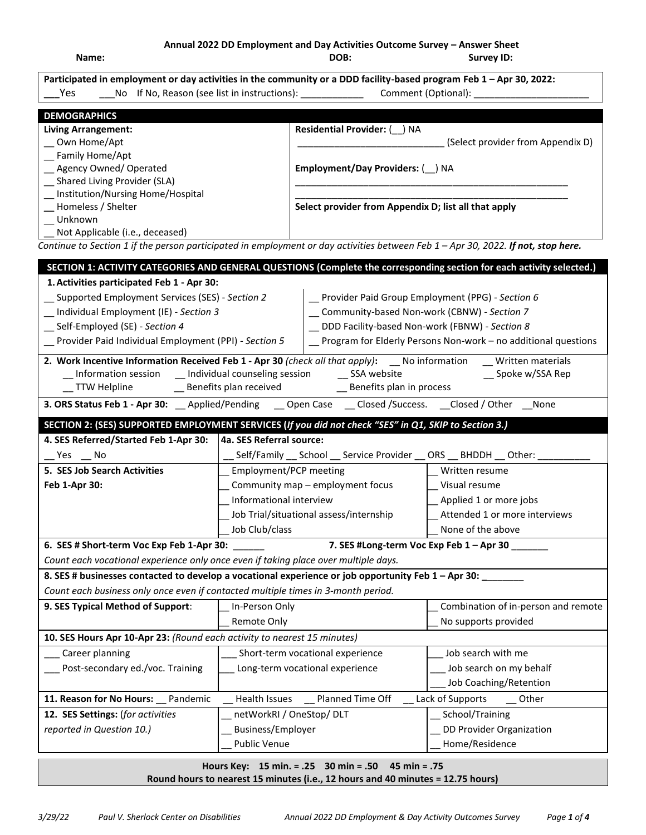**Annual 2022 DD Employment and Day Activities Outcome Survey – Answer Sheet**

**Name: DOB: Survey ID: DEMOGRAPHICS Living Arrangement:** \_\_ Own Home/Apt \_\_ Family Home/Apt \_\_ Agency Owned/ Operated \_\_ Shared Living Provider (SLA) \_\_ Institution/Nursing Home/Hospital **\_\_** Homeless / Shelter \_\_ Unknown Not Applicable (i.e., deceased) **Residential Provider:** (\_\_) NA (Select provider from Appendix D) **Employment/Day Providers:** (\_\_) NA \_\_\_\_\_\_\_\_\_\_\_\_\_\_\_\_\_\_\_\_\_\_\_\_\_\_\_\_\_\_\_\_\_\_\_\_\_\_\_\_\_\_\_\_\_\_\_\_\_\_\_\_ \_\_\_\_\_\_\_\_\_\_\_\_\_\_\_\_\_\_\_\_\_\_\_\_\_\_\_\_\_\_\_\_\_\_\_\_\_\_\_\_\_\_\_\_\_\_\_\_\_\_\_\_ **Select provider from Appendix D; list all that apply** *Continue to Section 1 if the person participated in employment or day activities between Feb 1 – Apr 30, 2022. If not, stop here.* **SECTION 2: (SES) SUPPORTED EMPLOYMENT SERVICES (***If you did not check "SES" in Q1, SKIP to Section 3.)* **4. SES Referred/Started Feb 1-Apr 30:** Yes \_ No **4a. SES Referral source:** Self/Family School Service Provider ORS BHDDH Other: **5. SES Job Search Activities Feb 1-Apr 30:** \_\_ Employment/PCP meeting Community map – employment focus \_\_ Informational interview Job Trial/situational assess/internship Job Club/class Written resume \_\_ Visual resume Applied 1 or more jobs Attended 1 or more interviews None of the above **6. SES # Short-term Voc Exp Feb 1-Apr 30:** \_\_\_\_\_\_ **7. SES #Long-term Voc Exp Feb 1 – Apr 30** \_\_\_\_\_\_\_ *Count each vocational experience only once even if taking place over multiple days.* **8. SES # businesses contacted to develop a vocational experience or job opportunity Feb 1 – Apr 30: \_**\_\_\_\_\_\_\_ *Count each business only once even if contacted multiple times in 3-month period.* **Participated in employment or day activities in the community or a DDD facility-based program Feb 1 – Apr 30, 2022: \_\_\_**Yes \_\_\_No If No, Reason (see list in instructions): \_\_\_\_\_\_\_\_\_\_\_\_ Comment (Optional): \_\_\_\_\_\_\_\_\_\_\_\_\_\_\_\_\_\_\_\_\_\_ **SECTION 1: ACTIVITY CATEGORIES AND GENERAL QUESTIONS (Complete the corresponding section for each activity selected.) 1.Activities participated Feb 1 - Apr 30:** \_\_ Supported Employment Services (SES) - *Section 2* \_\_ Individual Employment (IE) - *Section 3* \_\_ Self-Employed (SE) - *Section 4* \_\_ Provider Paid Individual Employment (PPI) *- Section 5* \_\_ Provider Paid Group Employment (PPG) - *Section 6* \_\_ Community-based Non-work (CBNW) - *Section 7* \_\_ DDD Facility-based Non-work (FBNW) - *Section 8* Program for Elderly Persons Non-work – no additional questions **2. Work Incentive Information Received Feb 1 - Apr 30** *(check all that apply)*: \_\_ No information \_\_ Written materials \_\_ Information session \_\_\_ Individual counseling session \_\_\_ SSA website Spoke w/SSA Rep \_\_ Information session \_\_ Individual counseling session \_\_ SSA website \_\_ Spoke w/SSA Rep \_TTW Helpline \_\_\_\_\_\_\_\_\_\_\_\_\_Benefits plan received \_\_\_\_\_\_\_\_\_\_\_\_\_\_\_\_\_\_\_Benefits plan in process **3. ORS Status Feb 1 - Apr 30:** \_\_ Applied/Pending \_\_ Open Case \_\_ Closed /Success. \_\_Closed / Other \_\_None

**9. SES Typical Method of Support**: \_\_ In-Person Only Remote Only \_\_ Combination of in-person and remote No supports provided **10. SES Hours Apr 10-Apr 23:** *(Round each activity to nearest 15 minutes)* Career planning Post-secondary ed./voc. Training Short-term vocational experience Long-term vocational experience Job search with me Job search on my behalf Job Coaching/Retention **11. Reason for No Hours:** Pandemic Health Issues Planned Time Off Lack of Supports Other **12. SES Settings:** (*for activities reported in Question 10.)* netWorkRI / OneStop/ DLT \_\_ Business/Employer Public Venue School/Training DD Provider Organization \_\_ Home/Residence

# **Hours Key: 15 min. = .25 30 min = .50 45 min = .75 Round hours to nearest 15 minutes (i.e., 12 hours and 40 minutes = 12.75 hours)**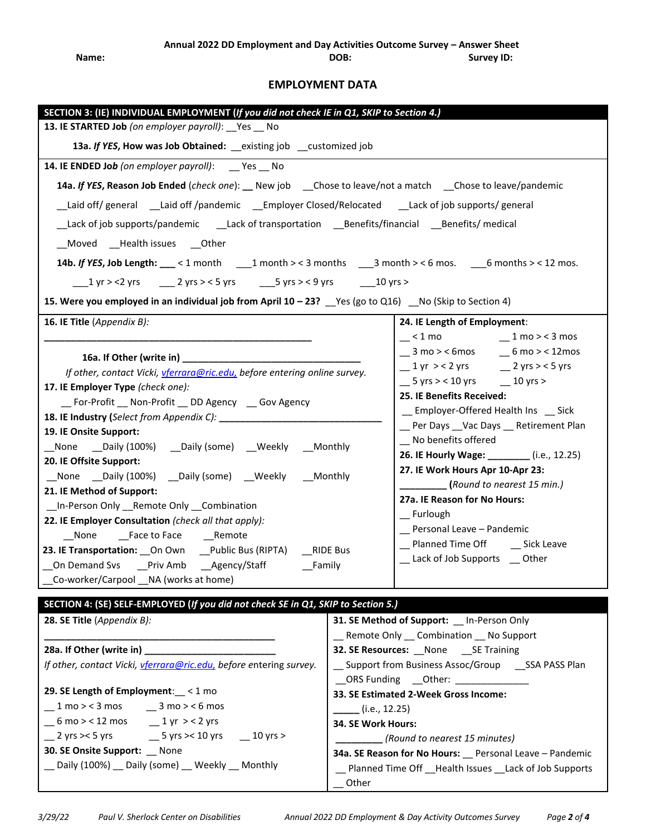# **EMPLOYMENT DATA**

| SECTION 3: (IE) INDIVIDUAL EMPLOYMENT (If you did not check IE in Q1, SKIP to Section 4.)                                          |                                                        |                                                         |  |  |  |
|------------------------------------------------------------------------------------------------------------------------------------|--------------------------------------------------------|---------------------------------------------------------|--|--|--|
| 13. IE STARTED Job (on employer payroll): __Yes __ No                                                                              |                                                        |                                                         |  |  |  |
| 13a. If YES, How was Job Obtained: _existing job _customized job                                                                   |                                                        |                                                         |  |  |  |
| 14. IE ENDED Job (on employer payroll): __ Yes __ No                                                                               |                                                        |                                                         |  |  |  |
| 14a. If YES, Reason Job Ended (check one): __ New job ___ Chose to leave/not a match ___ Chose to leave/pandemic                   |                                                        |                                                         |  |  |  |
| Laid off/ general ___Laid off/pandemic ___Employer Closed/Relocated ____Lack of job supports/ general                              |                                                        |                                                         |  |  |  |
| _Lack of job supports/pandemic ____Lack of transportation ____Benefits/financial ____Benefits/ medical                             |                                                        |                                                         |  |  |  |
| _Moved __Health issues __Other                                                                                                     |                                                        |                                                         |  |  |  |
| 14b. If YES, Job Length: $\_\_\_$ < 1 month $\_\_\_$ 1 month > < 3 months $\_\_\_$ 3 month > < 6 mos. $\_\_\_6$ months > < 12 mos. |                                                        |                                                         |  |  |  |
| ___1 yr > <2 yrs ____ 2 yrs > < 5 yrs ____5 yrs > < 9 yrs _____10 yrs >                                                            |                                                        |                                                         |  |  |  |
| 15. Were you employed in an individual job from April $10 - 23$ ? $\_\$ Yes (go to Q16) $\_\$ No (Skip to Section 4)               |                                                        |                                                         |  |  |  |
| 16. IE Title (Appendix B):                                                                                                         |                                                        | 24. IE Length of Employment:                            |  |  |  |
|                                                                                                                                    |                                                        | $-$ < 1 mo $-$ 1 mo > < 3 mos                           |  |  |  |
| 16a. If Other (write in) Manual Assembly Property and Assembly Property and Assembly Property and Assembly                         |                                                        | $\_ 3$ mo > < 6mos $\_ 6$ mo > < 12mos                  |  |  |  |
|                                                                                                                                    |                                                        | $\frac{1}{2}$ yr > < 2 yrs $\frac{2}{2}$ yrs > < 5 yrs  |  |  |  |
| If other, contact Vicki, vferrara@ric.edu, before entering online survey.<br>17. IE Employer Type (check one):                     |                                                        | $-5$ yrs > < 10 yrs $-10$ yrs >                         |  |  |  |
| _For-Profit _ Non-Profit _ DD Agency _ Gov Agency                                                                                  |                                                        | 25. IE Benefits Received:                               |  |  |  |
| 18. IE Industry (Select from Appendix C): __________________                                                                       |                                                        | _ Employer-Offered Health Ins _ Sick                    |  |  |  |
| 19. IE Onsite Support:                                                                                                             |                                                        | _ Per Days _Vac Days _ Retirement Plan                  |  |  |  |
| _None __Daily (100%) __Daily (some) __Weekly __Monthly                                                                             |                                                        | __ No benefits offered                                  |  |  |  |
| 20. IE Offsite Support:                                                                                                            |                                                        | 26. IE Hourly Wage: ________ (i.e., 12.25)              |  |  |  |
| _None __Daily (100%) __Daily (some) __Weekly __Monthly                                                                             |                                                        | 27. IE Work Hours Apr 10-Apr 23:                        |  |  |  |
| 21. IE Method of Support:                                                                                                          |                                                        | (Round to nearest 15 min.)                              |  |  |  |
| _In-Person Only _Remote Only _Combination                                                                                          |                                                        | 27a. IE Reason for No Hours:                            |  |  |  |
| 22. IE Employer Consultation (check all that apply):                                                                               |                                                        | _ Furlough                                              |  |  |  |
| None Face to Face Remote                                                                                                           |                                                        | _ Personal Leave - Pandemic                             |  |  |  |
| 23. IE Transportation: On Own Public Bus (RIPTA) RIDE Bus                                                                          |                                                        | __ Planned Time Off ___ __ Sick Leave                   |  |  |  |
| __On Demand Svs ___Priv Amb ___Agency/Staff ________Family                                                                         |                                                        | __ Lack of Job Supports __ Other                        |  |  |  |
| Co-worker/Carpool __ NA (works at home)                                                                                            |                                                        |                                                         |  |  |  |
| SECTION 4: (SE) SELF-EMPLOYED (If you did not check SE in Q1, SKIP to Section 5.)                                                  |                                                        |                                                         |  |  |  |
| 28. SE Title (Appendix B):                                                                                                         |                                                        | 31. SE Method of Support: _ In-Person Only              |  |  |  |
|                                                                                                                                    |                                                        | _ Remote Only _ Combination _ No Support                |  |  |  |
| 28a. If Other (write in)                                                                                                           | 32. SE Resources: None SE Training                     |                                                         |  |  |  |
| If other, contact Vicki, vferrara@ric.edu, before entering survey.                                                                 | __ Support from Business Assoc/Group ___ SSA PASS Plan |                                                         |  |  |  |
|                                                                                                                                    | __ORS Funding ___Other: _______________                |                                                         |  |  |  |
| 29. SE Length of Employment: < 1 mo                                                                                                | 33. SE Estimated 2-Week Gross Income:                  |                                                         |  |  |  |
| $\_ 1 \text{ mo} > 3 \text{ mos}$ $\_ 3 \text{ mo} > 6 \text{ mos}$                                                                | _____ (i.e., 12.25)                                    |                                                         |  |  |  |
| $-6$ mo > < 12 mos $-1$ yr > < 2 yrs                                                                                               |                                                        | 34. SE Work Hours:                                      |  |  |  |
| $\frac{1}{2}$ yrs >< 5 yrs $\frac{1}{2}$ 5 yrs >< 10 yrs<br>$-10$ yrs >                                                            |                                                        | (Round to nearest 15 minutes)                           |  |  |  |
| 30. SE Onsite Support: __ None                                                                                                     | 34a. SE Reason for No Hours: Personal Leave - Pandemic |                                                         |  |  |  |
| _ Daily (100%) _ Daily (some) _ Weekly _ Monthly                                                                                   |                                                        | Planned Time Off __Health Issues __Lack of Job Supports |  |  |  |
| Other                                                                                                                              |                                                        |                                                         |  |  |  |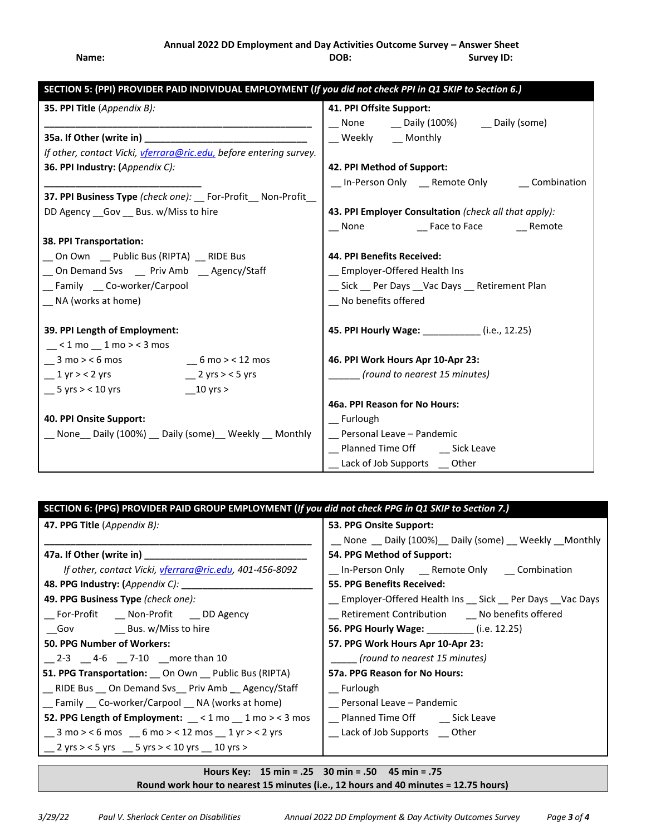# **Annual 2022 DD Employment and Day Activities Outcome Survey – Answer Sheet** Name: **Name: Name: DOB: CODE: Survey ID: Survey ID: Survey ID: Survey ID: CODE: CONS**

| SECTION 5: (PPI) PROVIDER PAID INDIVIDUAL EMPLOYMENT (If you did not check PPI in Q1 SKIP to Section 6.) |                                                       |  |  |
|----------------------------------------------------------------------------------------------------------|-------------------------------------------------------|--|--|
| 35. PPI Title (Appendix B):                                                                              | 41. PPI Offsite Support:                              |  |  |
|                                                                                                          | __ None ___ _ Daily (100%) ___ Daily (some)           |  |  |
|                                                                                                          | _ Weekly _ _ Monthly                                  |  |  |
| If other, contact Vicki, <i>vferrara@ric.edu</i> , before entering survey.                               |                                                       |  |  |
| 36. PPI Industry: (Appendix C):                                                                          | 42. PPI Method of Support:                            |  |  |
|                                                                                                          | _ In-Person Only _ Remote Only _ _ Combination        |  |  |
| 37. PPI Business Type (check one): For-Profit Non-Profit                                                 |                                                       |  |  |
| DD Agency __ Gov __ Bus. w/Miss to hire                                                                  | 43. PPI Employer Consultation (check all that apply): |  |  |
|                                                                                                          | __ None ____________ Face to Face _________ Remote    |  |  |
| 38. PPI Transportation:                                                                                  |                                                       |  |  |
| _ On Own _ Public Bus (RIPTA) _ RIDE Bus                                                                 | 44. PPI Benefits Received:                            |  |  |
| _On Demand Svs __ Priv Amb __ Agency/Staff                                                               | _Employer-Offered Health Ins                          |  |  |
| _ Family _ Co-worker/Carpool                                                                             | _ Sick _ Per Days _ Vac Days _ Retirement Plan        |  |  |
| _ NA (works at home)                                                                                     | _ No benefits offered                                 |  |  |
|                                                                                                          |                                                       |  |  |
| 39. PPI Length of Employment:                                                                            | 45. PPI Hourly Wage: ____________(i.e., 12.25)        |  |  |
| $\leq$ < 1 mo $\leq$ 1 mo > < 3 mos                                                                      |                                                       |  |  |
| $3 \text{ mo} > 6 \text{ mos}$<br>$-6$ mo $>$ < 12 mos                                                   | 46. PPI Work Hours Apr 10-Apr 23:                     |  |  |
| $\_1$ yr > < 2 yrs<br>$\frac{2}{1}$ 2 yrs > < 5 yrs                                                      | (round to nearest 15 minutes)                         |  |  |
| $\_$ 5 yrs > < 10 yrs<br>$10 \text{ yrs} >$                                                              |                                                       |  |  |
|                                                                                                          | 46a. PPI Reason for No Hours:                         |  |  |
| 40. PPI Onsite Support:<br>_ None _ Daily (100%) _ Daily (some) _ Weekly _ Monthly                       | Furlough<br>_ Personal Leave - Pandemic               |  |  |
|                                                                                                          | Planned Time Off Sick Leave                           |  |  |
|                                                                                                          | Lack of Job Supports _ Other                          |  |  |
|                                                                                                          |                                                       |  |  |

| SECTION 6: (PPG) PROVIDER PAID GROUP EMPLOYMENT (If you did not check PPG in Q1 SKIP to Section 7.) |                                                             |  |  |
|-----------------------------------------------------------------------------------------------------|-------------------------------------------------------------|--|--|
| 47. PPG Title (Appendix B):                                                                         | 53. PPG Onsite Support:                                     |  |  |
|                                                                                                     | __ None __ Daily (100%)__ Daily (some) __ Weekly __ Monthly |  |  |
|                                                                                                     | 54. PPG Method of Support:                                  |  |  |
| If other, contact Vicki, <i>vferrara@ric.edu</i> , 401-456-8092                                     | _ In-Person Only _ Remote Only _ Combination                |  |  |
| 48. PPG Industry: (Appendix C): ______________                                                      | <b>55. PPG Benefits Received:</b>                           |  |  |
| 49. PPG Business Type (check one):                                                                  | _ Employer-Offered Health Ins _ Sick _ Per Days _Vac Days   |  |  |
| _For-Profit __ Non-Profit __ DD Agency                                                              | __ Retirement Contribution ___ No benefits offered          |  |  |
| _Gov _________ Bus. w/Miss to hire                                                                  | 56. PPG Hourly Wage: _________ (i.e. 12.25)                 |  |  |
| <b>50. PPG Number of Workers:</b>                                                                   | 57. PPG Work Hours Apr 10-Apr 23:                           |  |  |
| $\frac{2-3}{1}$ $\frac{4-6}{1}$ $\frac{7-10}{10}$ more than 10                                      | (round to nearest 15 minutes)                               |  |  |
| 51. PPG Transportation: __ On Own __ Public Bus (RIPTA)                                             | 57a. PPG Reason for No Hours:                               |  |  |
| __ RIDE Bus __ On Demand Svs__ Priv Amb __ Agency/Staff                                             | Furlough                                                    |  |  |
| __ Family __ Co-worker/Carpool __ NA (works at home)                                                | __ Personal Leave – Pandemic                                |  |  |
| 52. PPG Length of Employment: __<1 mo __ 1 mo ><3 mos                                               | __ Planned Time Off ___ __ Sick Leave                       |  |  |
| $\_$ 3 mo > < 6 mos $\_$ 6 mo > < 12 mos $\_$ 1 yr > < 2 yrs                                        | __ Lack of Job Supports __ Other                            |  |  |
| _ 2 yrs > < 5 yrs _ 5 yrs > < 10 yrs _ 10 yrs >                                                     |                                                             |  |  |

**Hours Key: 15 min = .25 30 min = .50 45 min = .75 Round work hour to nearest 15 minutes (i.e., 12 hours and 40 minutes = 12.75 hours)**